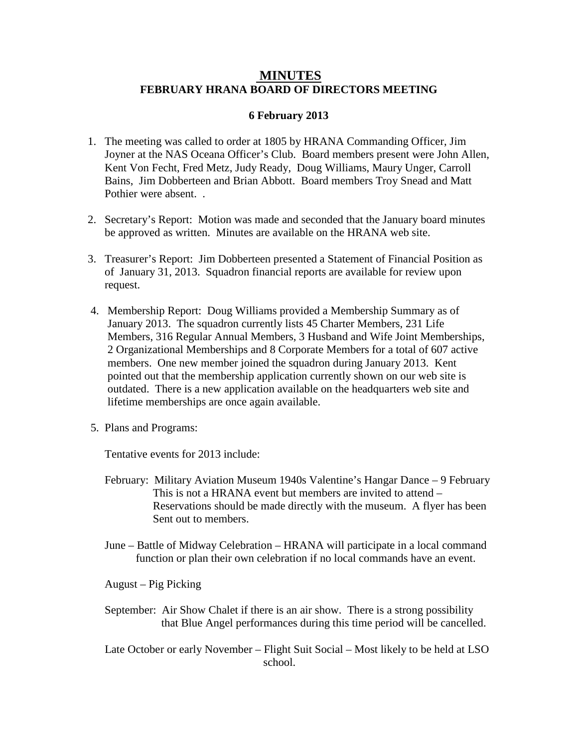## **FEBRUARY HRANA BOARD OF DIRECTORS MEETING MINUTES**

## **6 February 2013**

- 1. The meeting was called to order at 1805 by HRANA Commanding Officer, Jim Joyner at the NAS Oceana Officer's Club. Board members present were John Allen, Kent Von Fecht, Fred Metz, Judy Ready, Doug Williams, Maury Unger, Carroll Bains, Jim Dobberteen and Brian Abbott. Board members Troy Snead and Matt Pothier were absent. .
- 2. Secretary's Report: Motion was made and seconded that the January board minutes be approved as written. Minutes are available on the HRANA web site.
- 3. Treasurer's Report: Jim Dobberteen presented a Statement of Financial Position as of January 31, 2013. Squadron financial reports are available for review upon request.
- 4. Membership Report: Doug Williams provided a Membership Summary as of January 2013. The squadron currently lists 45 Charter Members, 231 Life Members, 316 Regular Annual Members, 3 Husband and Wife Joint Memberships, 2 Organizational Memberships and 8 Corporate Members for a total of 607 active members. One new member joined the squadron during January 2013. Kent pointed out that the membership application currently shown on our web site is outdated. There is a new application available on the headquarters web site and lifetime memberships are once again available.
- 5. Plans and Programs:

Tentative events for 2013 include:

- February: Military Aviation Museum 1940s Valentine's Hangar Dance 9 February This is not a HRANA event but members are invited to attend – Reservations should be made directly with the museum. A flyer has been Sent out to members.
- June Battle of Midway Celebration HRANA will participate in a local command function or plan their own celebration if no local commands have an event.

August – Pig Picking

- September: Air Show Chalet if there is an air show. There is a strong possibility that Blue Angel performances during this time period will be cancelled.
- Late October or early November Flight Suit Social Most likely to be held at LSO school.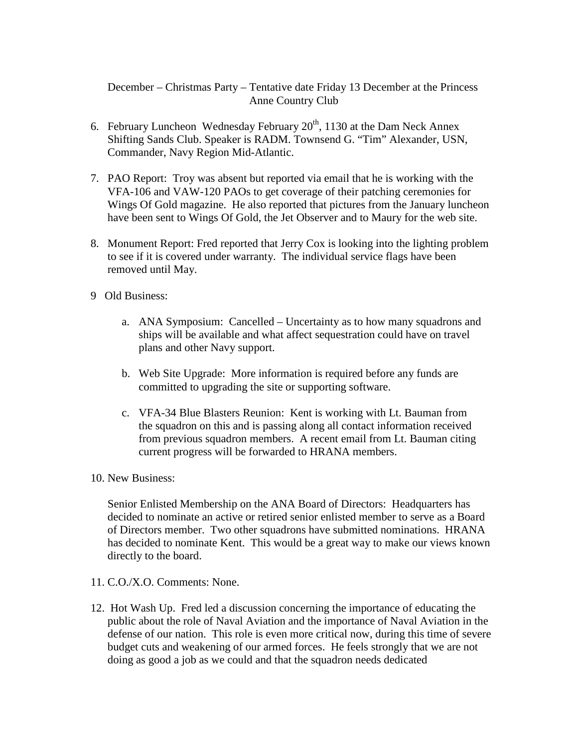December – Christmas Party – Tentative date Friday 13 December at the Princess Anne Country Club

- 6. February Luncheon Wednesday February  $20<sup>th</sup>$ , 1130 at the Dam Neck Annex Shifting Sands Club. Speaker is RADM. Townsend G. "Tim" Alexander, USN, Commander, Navy Region Mid-Atlantic.
- 7. PAO Report: Troy was absent but reported via email that he is working with the VFA-106 and VAW-120 PAOs to get coverage of their patching ceremonies for Wings Of Gold magazine. He also reported that pictures from the January luncheon have been sent to Wings Of Gold, the Jet Observer and to Maury for the web site.
- 8. Monument Report: Fred reported that Jerry Cox is looking into the lighting problem to see if it is covered under warranty. The individual service flags have been removed until May.
- 9 Old Business:
	- a. ANA Symposium: Cancelled Uncertainty as to how many squadrons and ships will be available and what affect sequestration could have on travel plans and other Navy support.
	- b. Web Site Upgrade: More information is required before any funds are committed to upgrading the site or supporting software.
	- c. VFA-34 Blue Blasters Reunion: Kent is working with Lt. Bauman from the squadron on this and is passing along all contact information received from previous squadron members. A recent email from Lt. Bauman citing current progress will be forwarded to HRANA members.
- 10. New Business:

Senior Enlisted Membership on the ANA Board of Directors: Headquarters has decided to nominate an active or retired senior enlisted member to serve as a Board of Directors member. Two other squadrons have submitted nominations. HRANA has decided to nominate Kent. This would be a great way to make our views known directly to the board.

- 11. C.O./X.O. Comments: None.
- 12. Hot Wash Up. Fred led a discussion concerning the importance of educating the public about the role of Naval Aviation and the importance of Naval Aviation in the defense of our nation. This role is even more critical now, during this time of severe budget cuts and weakening of our armed forces. He feels strongly that we are not doing as good a job as we could and that the squadron needs dedicated